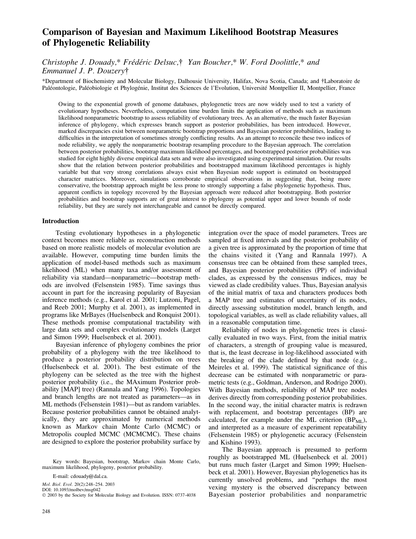# Comparison of Bayesian and Maximum Likelihood Bootstrap Measures of Phylogenetic Reliability

Christophe J. Douady,\* Frédéric Delsuc, $\dagger$  Yan Boucher,\* W. Ford Doolittle,\* and Emmanuel J. P. Douzery

\*Department of Biochemistry and Molecular Biology, Dalhousie University, Halifax, Nova Scotia, Canada; and Laboratoire de Paléontologie, Paléobiologie et Phylogénie, Institut des Sciences de l'Evolution, Université Montpellier II, Montpellier, France

Owing to the exponential growth of genome databases, phylogenetic trees are now widely used to test a variety of evolutionary hypotheses. Nevertheless, computation time burden limits the application of methods such as maximum likelihood nonparametric bootstrap to assess reliability of evolutionary trees. As an alternative, the much faster Bayesian inference of phylogeny, which expresses branch support as posterior probabilities, has been introduced. However, marked discrepancies exist between nonparametric bootstrap proportions and Bayesian posterior probabilities, leading to difficulties in the interpretation of sometimes strongly conflicting results. As an attempt to reconcile these two indices of node reliability, we apply the nonparametric bootstrap resampling procedure to the Bayesian approach. The correlation between posterior probabilities, bootstrap maximum likelihood percentages, and bootstrapped posterior probabilities was studied for eight highly diverse empirical data sets and were also investigated using experimental simulation. Our results show that the relation between posterior probabilities and bootstrapped maximum likelihood percentages is highly variable but that very strong correlations always exist when Bayesian node support is estimated on bootstrapped character matrices. Moreover, simulations corroborate empirical observations in suggesting that, being more conservative, the bootstrap approach might be less prone to strongly supporting a false phylogenetic hypothesis. Thus, apparent conflicts in topology recovered by the Bayesian approach were reduced after bootstrapping. Both posterior probabilities and bootstrap supports are of great interest to phylogeny as potential upper and lower bounds of node reliability, but they are surely not interchangeable and cannot be directly compared.

# Introduction

Testing evolutionary hypotheses in a phylogenetic context becomes more reliable as reconstruction methods based on more realistic models of molecular evolution are available. However, computing time burden limits the application of model-based methods such as maximum likelihood (ML) when many taxa and/or assessment of reliability via standard—nonparametric—bootstrap methods are involved (Felsenstein 1985). Time savings thus account in part for the increasing popularity of Bayesian inference methods (e.g., Karol et al. 2001; Lutzoni, Pagel, and Reeb 2001; Murphy et al. 2001), as implemented in programs like MrBayes (Huelsenbeck and Ronquist 2001). These methods promise computational tractability with large data sets and complex evolutionary models (Larget and Simon 1999; Huelsenbeck et al. 2001).

Bayesian inference of phylogeny combines the prior probability of a phylogeny with the tree likelihood to produce a posterior probability distribution on trees (Huelsenbeck et al. 2001). The best estimate of the phylogeny can be selected as the tree with the highest posterior probability (i.e., the MAximum Posterior probability [MAP] tree) (Rannala and Yang 1996). Topologies and branch lengths are not treated as parameters—as in ML methods (Felsenstein 1981)—but as random variables. Because posterior probabilities cannot be obtained analytically, they are approximated by numerical methods known as Markov chain Monte Carlo (MCMC) or Metropolis coupled MCMC (MCMCMC). These chains are designed to explore the posterior probability surface by

Key words: Bayesian, bootstrap, Markov chain Monte Carlo, maximum likelihood, phylogeny, posterior probability.

E-mail: cdouady@dal.ca.

Mol. Biol. Evol. 20(2):248–254. 2003

DOI: 10.1093/molbev/msg042

2003 by the Society for Molecular Biology and Evolution. ISSN: 0737-4038

integration over the space of model parameters. Trees are sampled at fixed intervals and the posterior probability of a given tree is approximated by the proportion of time that the chains visited it (Yang and Rannala 1997). A consensus tree can be obtained from these sampled trees, and Bayesian posterior probabilities (PP) of individual clades, as expressed by the consensus indices, may be viewed as clade credibility values. Thus, Bayesian analysis of the initial matrix of taxa and characters produces both a MAP tree and estimates of uncertainty of its nodes, directly assessing substitution model, branch length, and topological variables, as well as clade reliability values, all in a reasonable computation time.

Reliability of nodes in phylogenetic trees is classically evaluated in two ways. First, from the initial matrix of characters, a strength of grouping value is measured, that is, the least decrease in log-likelihood associated with the breaking of the clade defined by that node (e.g., Meireles et al. 1999). The statistical significance of this decrease can be estimated with nonparametric or parametric tests (e.g., Goldman, Anderson, and Rodrigo 2000). With Bayesian methods, reliability of MAP tree nodes derives directly from corresponding posterior probabilities. In the second way, the initial character matrix is redrawn with replacement, and bootstrap percentages (BP) are calculated, for example under the ML criterion  $(BP_{ML})$ , and interpreted as a measure of experiment repeatability (Felsenstein 1985) or phylogenetic accuracy (Felsenstein and Kishino 1993).

The Bayesian approach is presumed to perform roughly as bootstrapped ML (Huelsenbeck et al. 2001) but runs much faster (Larget and Simon 1999; Huelsenbeck et al. 2001). However, Bayesian phylogenetics has its currently unsolved problems, and ''perhaps the most vexing mystery is the observed discrepancy between Bayesian posterior probabilities and nonparametric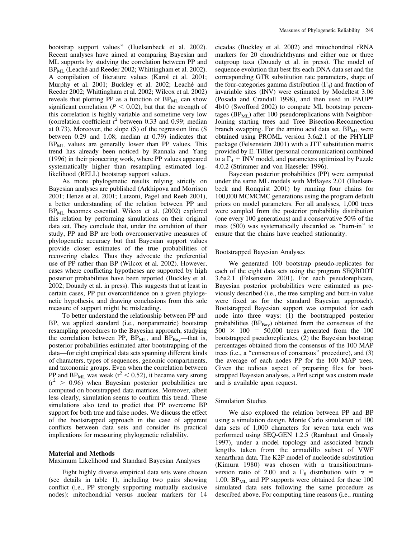bootstrap support values'' (Huelsenbeck et al. 2002). Recent analyses have aimed at comparing Bayesian and ML supports by studying the correlation between PP and  $BP_{MI}$  (Leaché and Reeder 2002; Whittingham et al. 2002). A compilation of literature values (Karol et al. 2001; Murphy et al. 2001; Buckley et al. 2002; Leaché and Reeder 2002; Whittingham et al. 2002; Wilcox et al. 2002) reveals that plotting PP as a function of  $BP_{ML}$  can show significant correlation ( $P < 0.02$ ), but that the strength of this correlation is highly variable and sometime very low (correlation coefficient  $r^2$  between 0.33 and 0.99; median at 0.73). Moreover, the slope (S) of the regression line (S between 0.29 and 1.08; median at 0.79) indicates that  $BP<sub>ML</sub>$  values are generally lower than PP values. This trend has already been noticed by Rannala and Yang (1996) in their pioneering work, where PP values appeared systematically higher than resampling estimated loglikelihood (RELL) bootstrap support values.

As more phylogenetic results relying strictly on Bayesian analyses are published (Arkhipova and Morrison 2001; Henze et al. 2001; Lutzoni, Pagel and Reeb 2001), a better understanding of the relation between PP and  $BP_{ML}$  becomes essential. Wilcox et al. (2002) explored this relation by performing simulations on their original data set. They conclude that, under the condition of their study, PP and BP are both overconservative measures of phylogenetic accuracy but that Bayesian support values provide closer estimates of the true probabilities of recovering clades. Thus they advocate the preferential use of PP rather than BP (Wilcox et al. 2002). However, cases where conflicting hypotheses are supported by high posterior probabilities have been reported (Buckley et al. 2002; Douady et al. in press). This suggests that at least in certain cases, PP put overconfidence on a given phylogenetic hypothesis, and drawing conclusions from this sole measure of support might be misleading.

To better understand the relationship between PP and BP, we applied standard (i.e., nonparametric) bootstrap resampling procedures to the Bayesian approach, studying the correlation between PP,  $BP_{ML}$ , and  $BP_{Bay}$ —that is, posterior probabilities estimated after bootstrapping of the data—for eight empirical data sets spanning different kinds of characters, types of sequences, genomic compartments, and taxonomic groups. Even when the correlation between PP and BP<sub>ML</sub> was weak ( $r^2$  < 0.52), it became very strong  $(r^2 > 0.96)$  when Bayesian posterior probabilities are computed on bootstrapped data matrices. Moreover, albeit less clearly, simulation seems to confirm this trend. These simulations also tend to predict that PP overcome BP support for both true and false nodes. We discuss the effect of the bootstrapped approach in the case of apparent conflicts between data sets and consider its practical implications for measuring phylogenetic reliability.

#### Material and Methods

Maximum Likelihood and Standard Bayesian Analyses

Eight highly diverse empirical data sets were chosen (see details in table 1), including two pairs showing conflict (i.e., PP strongly supporting mutually exclusive nodes): mitochondrial versus nuclear markers for 14 cicadas (Buckley et al. 2002) and mitochondrial rRNA markers for 20 chondrichthyans and either one or three outgroup taxa (Douady et al. in press). The model of sequence evolution that best fits each DNA data set and the corresponding GTR substitution rate parameters, shape of the four-categories gamma distribution  $(\Gamma_4)$  and fraction of invariable sites (INV) were estimated by Modeltest 3.06 (Posada and Crandall 1998), and then used in PAUP\* 4b10 (Swofford 2002) to compute ML bootstrap percentages ( $BP_{ML}$ ) after 100 pseudoreplications with Neighbor-Joining starting trees and Tree Bisection-Reconnection branch swapping. For the amino acid data set,  $BP_{ML}$  were obtained using PROML version 3.6a2.1 of the PHYLIP package (Felsenstein 2001) with a JTT substitution matrix provided by E. Tillier (personal communication) combined to a  $\Gamma_4$  + INV model, and parameters optimized by Puzzle 4.0.2 (Strimmer and von Haeseler 1996).

Bayesian posterior probabilities (PP) were computed under the same ML models with MrBayes 2.01 (Huelsenbeck and Ronquist 2001) by running four chains for 100,000 MCMCMC generations using the program default priors on model parameters. For all analyses, 1,000 trees were sampled from the posterior probability distribution (one every 100 generations) and a conservative 50% of the trees (500) was systematically discarded as ''burn-in'' to ensure that the chains have reached stationarity.

#### Bootstrapped Bayesian Analyses

We generated 100 bootstrap pseudo-replicates for each of the eight data sets using the program SEQBOOT 3.6a2.1 (Felsenstein 2001). For each pseudoreplicate, Bayesian posterior probabilities were estimated as previously described (i.e., the tree sampling and burn-in value were fixed as for the standard Bayesian approach). Bootstrapped Bayesian support was computed for each node into three ways: (1) the bootstrapped posterior probabilities  $(BP_{\text{Bay}})$  obtained from the consensus of the  $500 \times 100 = 50,000$  trees generated from the 100 bootstrapped pseudoreplicates, (2) the Bayesian bootstrap percentages obtained from the consensus of the 100 MAP trees (i.e., a ''consensus of consensus'' procedure), and (3) the average of each nodes PP for the 100 MAP trees. Given the tedious aspect of preparing files for bootstrapped Bayesian analyses, a Perl script was custom made and is available upon request.

## Simulation Studies

We also explored the relation between PP and BP using a simulation design. Monte Carlo simulation of 100 data sets of 1,000 characters for seven taxa each was performed using SEQ-GEN 1.2.5 (Rambaut and Grassly 1997), under a model topology and associated branch lengths taken from the armadillo subset of VWF xenarthran data. The K2P model of nucleotide substitution (Kimura 1980) was chosen with a transition:transversion ratio of 2.00 and a  $\Gamma_8$  distribution with  $\alpha =$ 1.00.  $BP_{ML}$  and PP supports were obtained for these 100 simulated data sets following the same procedure as described above. For computing time reasons (i.e., running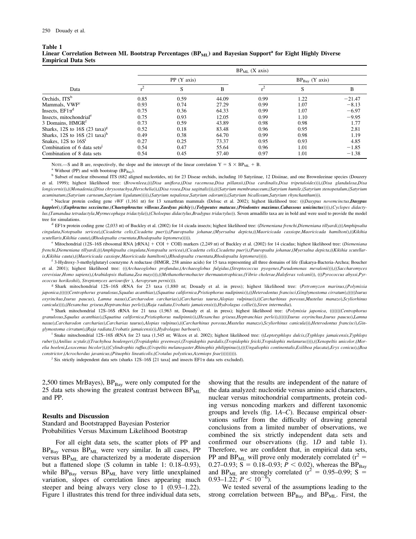Table 1

| таше т                                                                                                                             |  |
|------------------------------------------------------------------------------------------------------------------------------------|--|
| Linear Correlation Between ML Bootstrap Percentages (BP <sub>ML</sub> ) and Bayesian Support <sup>a</sup> for Eight Highly Diverse |  |
| <b>Empirical Data Sets</b>                                                                                                         |  |

| Data                                     | $BP_{ML}$ (X axis) |      |       |                  |      |          |  |
|------------------------------------------|--------------------|------|-------|------------------|------|----------|--|
|                                          | PP (Y axis)        |      |       | $BPBay$ (Y axis) |      |          |  |
|                                          |                    | S    | B     |                  | S    | B        |  |
| Orchids, ITS <sup>b</sup>                | 0.85               | 0.59 | 44.09 | 0.99             | 1.22 | $-21.47$ |  |
| Mammals, VWF <sup>c</sup>                | 0.93               | 0.74 | 27.29 | 0.99             | 1.07 | $-8.13$  |  |
| Insects, $E F1 \alpha^d$                 | 0.75               | 0.36 | 64.33 | 0.99             | 1.07 | $-6.97$  |  |
| Insects, mitochondrial <sup>e</sup>      | 0.75               | 0.93 | 12.05 | 0.99             | 1.10 | $-9.95$  |  |
| 3 Domains, HMGR <sup>I</sup>             | 0.73               | 0.59 | 43.89 | 0.98             | 0.98 | 1.77     |  |
| Sharks, 12S to 16S $(23 \text{ taxa})^g$ | 0.52               | 0.18 | 83.48 | 0.96             | 0.95 | 2.81     |  |
| Sharks, 12S to 16S $(21 \text{ taxa})^h$ | 0.49               | 0.38 | 64.70 | 0.99             | 0.98 | 1.19     |  |
| Snakes, $12S$ to $16S1$                  | 0.27               | 0.25 | 73.37 | 0.95             | 0.93 | 4.85     |  |
| Combination of 6 data sets <sup>1</sup>  | 0.54               | 0.47 | 55.64 | 0.96             | 1.01 | $-1.85$  |  |
| Combination of 8 data sets               | 0.54               | 0.45 | 57.40 | 0.97             | 1.01 | $-1.38$  |  |

NOTE.—S and B are, respectively, the slope and the intercept of the linear correlation  $Y = S \times BP_{ML} + B$ .<br><sup>a</sup> Without (PP) and with bootstrap (BP<sub>Bay</sub>).<br><sup>b</sup> Subset of nuclear ribosomal ITS (682 aligned nucleotides, nt) for 23 et al. 1999); highest likelihood tree: (Brownleea,(((Disa uniflora,(Disa racemosa,Disa pillansii,(Disa cardinalis,Disa tripetaloides))),(Disa glandulosa,Disa longicornis)),((Monadenia,(Disa chrysostachya,Herschelia)),(Disa rosea,Disa sagittalis))),(((Satyrium membranaceum,(Satyrium humile,(Satyrium stenopetalum,(Satyrium acuminatum,(Satyrium carneum,Satyrium ligulatum))))),(Satyrium nepalense,Satyrium odorum)),(Satyrium bicallosum,Satyrium rhynchanthum))).

<sup>c</sup> Nuclear protein coding gene vWF (1,161 nt) for 13 xenarthran mammals (Delsuc et al. 2002); highest likelihood tree: (((Dasypus novemcinctus,Dasypus kappleri),((Euphractus sexcinctus,(Chaetophractus villosus,Zaedyus pichiy)),(Tolypeutes matacus,(Priodontes maximus,Cabassous unicinctus)))),(Cyclopes didactylus,(Tamandua tetradactyla,Myrmecophaga tridactyla)),(Choloepus didactylus,Bradypus tridactylus)). Seven armadillo taxa are in bold and were used to provide the model tree for simulations.

<sup>d</sup> EF1 $\alpha$  protein coding gene (2,033 nt) of Buckley et al. (2002) for 14 cicada insects; highest likelihood tree: (Diemeniana frenchi,Diemeniana tillyardi,(((Amphipsalta cingulata,Notopsalta sericea),(Cicadetta celis,Cicadetta puer)),(Pauropsalta johanae,(Myersalna depicta,((Maoricicada cassiope,Maoricicada hamiltoni),((Kikihia scutellaris,Kikihia cauta),(Rhodopsalta cruentata,Rhodopsalta leptomera))))).

e Mitochondrial (12S-16S ribosomal RNA [rRNA] + COI + COII) markers (2,249 nt) of Buckley et al. (2002) for 14 cicadas; highest likelihood tree: (Diemeniana frenchi,Diemeniana tillyardi,(((Amphipsalta cingulata,Notopsalta sericea),(Cicadetta celis,Cicadetta puer)),(Pauropsalta johanae,(Myersalna depicta,((Kikihia scutellaris,Kikihia cauta),((Maoricicada cassiope,Maoricicada hamiltoni),(Rhodopsalta cruentata,Rhodopsalta leptomera))))).

<sup>f</sup> 3-Hydroxy-3-methylglutaryl coenzyme A reductase (HMGR, 258 amino acids) for 15 taxa representing all three domains of life (Eukarya-Bacteria-Archea; Boucher et al. 2001); highest likelihood tree: (((Archaeoglobus profundus,(Archaeoglobus fulgidus,(Streptococcus pyogenes,Pseudomonas mevalonii))),((Saccharomyces cerevisiae,Homo sapiens),(Arabidopsis thaliana,Zea mays))),((Methanothermobacter thermautotrophicus,(Vibrio cholerae,Haloferax volcanii)), (((Pyrococcus abyssi,Pyrococcus horikoshii), Streptomyces aeriouvifer ), Aeropyrum pernix))).

<sup>g</sup> Shark mitochondrial 12S-16S rRNA for 23 taxa (1,880 nt; Douady et al. in press); highest likelihood tree: (Petromyzon marinus,(Polymixia japonica,((((((Centrophorus granulosus,Squalus acanthias),(Squatina californica,Pristiophorus nudipinnis)),((Heterodontus francisci,Ginglymostoma cirratum),(((((Isurus oxyrinchus,Isurus paucus), Lamna nasus),Carcharodon carcharias),(Carcharias taurus,Alopias vulpinus)),((Carcharhinus porosus,Mustelus manazo),Scyliorhinus canicula)))),(Hexanchus griseus,Heptranchias perlo)),(Raja radiata,Urobatis jamaicensis)),Hydrolagus colliei)),Siren intermedia).

h Shark mitochondrial 12S-16S rRNA for 21 taxa (1,963 nt, Douady et al. in press); highest likelihood tree: (Polymixia japonica, (((((((Centrophorus granulosus,Squalus acanthias),(Squatina californica,Pristiophorus nudipinnis)),(Hexanchus griseus,Heptranchias perlo)),((((((Isurus oxyrinchus,Isurus paucus),Lamna nasus),Carcharodon carcharias),Carcharias taurus),Alopias vulpinus),((Carcharhinus porosus,Mustelus manazo),Scyliorhinus canicula))),Heterodontus francisci),Ginglymostoma cirratum),(Raja radiata,Urobatis jamaicensis)),Hydrolagus barbouri).

<sup>i</sup> Snake mitochondrial 12S–16S rRNA for 23 taxa (1,545 nt; Wilcox et al. 2002); highest likelihood tree: ((Leptotyphlops dulcis,(Typhlops jamaicensis,Typhlops ruber)),(Anilius scytale,((Trachyboa boulengeri,(Tropidophis greenwayi,(Tropidophis pardalis,(Tropidophis feicki,Tropidophis melanurus)))),((Xenopeltis unicolor,(Morelia boeleni,Loxocemus bicolor)),((Cylindrophis ruffus,(Uropeltis melanogaster,Rhinophis philippinus)),(((Ungaliophis continentalis,Exiliboa placata),Eryx conicus),(Boa constrictor,(Acrochordus javanicus,(Pituophis lineaticolis,(Crotalus polysticus,Azemiops feae)))))))))).

<sup>j</sup> Six strictly independent data sets (sharks 12S-16S [21 taxa] and insects EF1 $\alpha$  data sets excluded).

2,500 times MrBayes),  $BP<sub>Bay</sub>$  were only computed for the 25 data sets showing the greatest contrast between  $BP_{ML}$ and PP.

#### Results and Discussion

Standard and Bootstrapped Bayesian Posterior Probabilities Versus Maximum Likelihood Bootstrap

For all eight data sets, the scatter plots of PP and  $BP<sub>Bay</sub>$  versus  $BP<sub>ML</sub>$  were very similar. In all cases, PP versus  $BP_{ML}$  are characterized by a moderate dispersion but a flattened slope (S column in table 1: 0.18–0.93), while  $BP_{Bay}$  versus  $BP_{ML}$  have very little unexplained variation, slopes of correlation lines appearing much steeper and being always very close to 1 (0.93–1.22). Figure 1 illustrates this trend for three individual data sets,

showing that the results are independent of the nature of the data analyzed: nucleotide versus amino acid characters, nuclear versus mitochondrial compartments, protein coding versus noncoding markers and different taxonomic groups and levels (fig. 1A–C). Because empirical observations suffer from the difficulty of drawing general conclusions from a limited number of observations, we combined the six strictly independent data sets and confirmed our observations (fig. 1D and table 1). Therefore, we are confident that, in empirical data sets, PP and BP<sub>ML</sub> will prove only moderately correlated ( $r^2$  = 0.27–0.93; S = 0.18–0.93;  $P < 0.02$ ), whereas the BP<sub>Bay</sub> and BP<sub>ML</sub> are strongly correlated ( $r^2 = 0.95{\text -}0.99$ ; S = 0.93–1.22;  $P < 10^{-6}$ ).

We tested several of the assumptions leading to the strong correlation between  $BP_{Bay}$  and  $BP_{ML}$ . First, the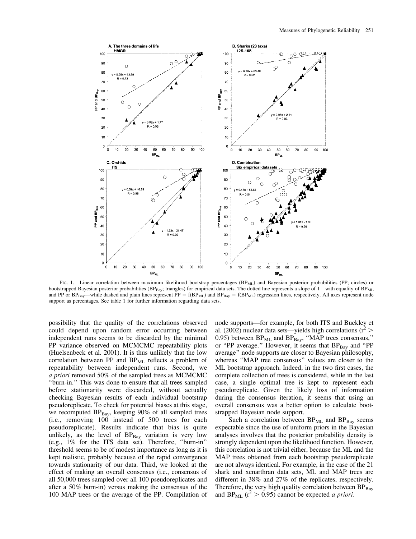

FIG. 1.—Linear correlation between maximum likelihood bootstrap percentages (BP<sub>ML</sub>) and Bayesian posterior probabilities (PP; circles) or bootstrapped Bayesian posterior probabilities (BPBay; triangles) for empirical data sets. The dotted line represents a slope of 1—with equality of BP<sub>ML</sub> and PP or  $BP_{Bay}$ —while dashed and plain lines represent  $PP = f(BP_{ML})$  and  $BP_{Bay} = f(BP_{ML})$  regression lines, respectively. All axes represent node support as percentages. See table 1 for further information regarding data sets.

possibility that the quality of the correlations observed could depend upon random error occurring between independent runs seems to be discarded by the minimal PP variance observed on MCMCMC repeatability plots (Huelsenbeck et al. 2001). It is thus unlikely that the low correlation between PP and  $BP_{ML}$  reflects a problem of repeatability between independent runs. Second, we a priori removed 50% of the sampled trees as MCMCMC ''burn-in.'' This was done to ensure that all trees sampled before stationarity were discarded, without actually checking Bayesian results of each individual bootstrap pseudoreplicate. To check for potential biases at this stage, we recomputed  $BP_{Bay}$ , keeping 90% of all sampled trees (i.e., removing 100 instead of 500 trees for each pseudoreplicate). Results indicate that bias is quite unlikely, as the level of  $BP_{Bay}$  variation is very low (e.g., 1% for the ITS data set). Therefore, ''burn-in'' threshold seems to be of modest importance as long as it is kept realistic, probably because of the rapid convergence towards stationarity of our data. Third, we looked at the effect of making an overall consensus (i.e., consensus of all 50,000 trees sampled over all 100 pseudoreplicates and after a 50% burn-in) versus making the consensus of the 100 MAP trees or the average of the PP. Compilation of node supports—for example, for both ITS and Buckley et al. (2002) nuclear data sets—yields high correlations ( $r^2$  > 0.95) between  $BP_{ML}$  and  $BP_{Bay}$ , "MAP trees consensus," or "PP average." However, it seems that  $BP<sub>Bay</sub>$  and "PP average'' node supports are closer to Bayesian philosophy, whereas "MAP tree consensus" values are closer to the ML bootstrap approach. Indeed, in the two first cases, the complete collection of trees is considered, while in the last case, a single optimal tree is kept to represent each pseudoreplicate. Given the likely loss of information during the consensus iteration, it seems that using an overall consensus was a better option to calculate bootstrapped Bayesian node support.

Such a correlation between  $BP_{ML}$  and  $BP_{Bav}$  seems expectable since the use of uniform priors in the Bayesian analyses involves that the posterior probability density is strongly dependent upon the likelihood function. However, this correlation is not trivial either, because the ML and the MAP trees obtained from each bootstrap pseudoreplicate are not always identical. For example, in the case of the 21 shark and xenarthran data sets, ML and MAP trees are different in 38% and 27% of the replicates, respectively. Therefore, the very high quality correlation between  $BP_{Bay}$ and BP<sub>ML</sub> ( $r^2 > 0.95$ ) cannot be expected *a priori*.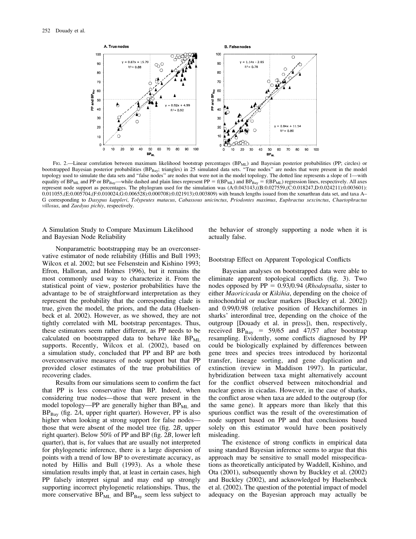

FIG. 2.—Linear correlation between maximum likelihood bootstrap percentages (BP<sub>ML</sub>) and Bayesian posterior probabilities (PP; circles) or bootstrapped Bayesian posterior probabilities (BP<sub>Bay</sub>; triangles) in 25 simulated data sets. "True nodes" are nodes that were present in the model topology used to simulate the data sets and "false nodes" are nodes that were not in the model topology. The dotted line represents a slope of 1—with equality of  $BP_{ML}$  and PP or  $BP_{Bay}$ —while dashed and plain lines represent  $PP = f(BP_{ML})$  and  $BP_{Bay} = f(BP_{ML})$  regression lines, respectively. All axes represent node support as percentages. The phylogram used for the simulation was (A:0.043143,((B:0.027559,(C:0.018247,D:0.024211):0.003601): 0.011055,(E:0.005704,(F:0.010024,G:0.006528):0.000708):0.021913):0.003809) with branch lengths issued from the xenarthran data set, and taxa A– G corresponding to Dasypus kappleri, Tolypeutes matacus, Cabassous unicinctus, Priodontes maximus, Euphractus sexcinctus, Chaetophractus villosus, and Zaedyus pichiy, respectively.

A Simulation Study to Compare Maximum Likelihood and Bayesian Node Reliability

Nonparametric bootstrapping may be an overconservative estimator of node reliability (Hillis and Bull 1993; Wilcox et al. 2002; but see Felsenstein and Kishino 1993; Efron, Halloran, and Holmes 1996), but it remains the most commonly used way to characterize it. From the statistical point of view, posterior probabilities have the advantage to be of straightforward interpretation as they represent the probability that the corresponding clade is true, given the model, the priors, and the data (Huelsenbeck et al. 2002). However, as we showed, they are not tightly correlated with ML bootstrap percentages. Thus, these estimators seem rather different, as PP needs to be calculated on bootstrapped data to behave like  $BP_{ML}$ supports. Recently, Wilcox et al. (2002), based on a simulation study, concluded that PP and BP are both overconservative measures of node support but that PP provided closer estimates of the true probabilities of recovering clades.

Results from our simulations seem to confirm the fact that PP is less conservative than BP. Indeed, when considering true nodes—those that were present in the model topology—PP are generally higher than  $BP_{ML}$  and  $BP<sub>Bay</sub>$  (fig. 2A, upper right quarter). However, PP is also higher when looking at strong support for false nodes those that were absent of the model tree (fig. 2B, upper right quarter). Below 50% of PP and BP (fig. 2B, lower left quarter), that is, for values that are usually not interpreted for phylogenetic inference, there is a large dispersion of points with a trend of low BP to overestimate accuracy, as noted by Hillis and Bull (1993). As a whole these simulation results imply that, at least in certain cases, high PP falsely interpret signal and may end up strongly supporting incorrect phylogenetic relationships. Thus, the more conservative  $BP_{ML}$  and  $BP_{Bay}$  seem less subject to

the behavior of strongly supporting a node when it is actually false.

Bootstrap Effect on Apparent Topological Conflicts

Bayesian analyses on bootstrapped data were able to eliminate apparent topological conflicts (fig. 3). Two nodes opposed by  $PP = 0.93/0.94$  (*Rhodopsalta*, sister to either Maoricicada or Kikihia, depending on the choice of mitochondrial or nuclear markers [Buckley et al. 2002]) and 0.99/0.98 (relative position of Hexanchiformes in sharks' interordinal tree, depending on the choice of the outgroup [Douady et al. in press]), then, respectively, received  $BP_{\text{Bay}} = 59/65$  and 47/57 after bootstrap resampling. Evidently, some conflicts diagnosed by PP could be biologically explained by differences between gene trees and species trees introduced by horizontal transfer, lineage sorting, and gene duplication and extinction (review in Maddison 1997). In particular, hybridization between taxa might alternatively account for the conflict observed between mitochondrial and nuclear genes in cicadas. However, in the case of sharks, the conflict arose when taxa are added to the outgroup (for the same gene). It appears more than likely that this spurious conflict was the result of the overestimation of node support based on PP and that conclusions based solely on this estimator would have been positively misleading.

The existence of strong conflicts in empirical data using standard Bayesian inference seems to argue that this approach may be sensitive to small model misspecifications as theoretically anticipated by Waddell, Kishino, and Ota (2001), subsequently shown by Buckley et al. (2002) and Buckley (2002), and acknowledged by Huelsenbeck et al. (2002). The question of the potential impact of model adequacy on the Bayesian approach may actually be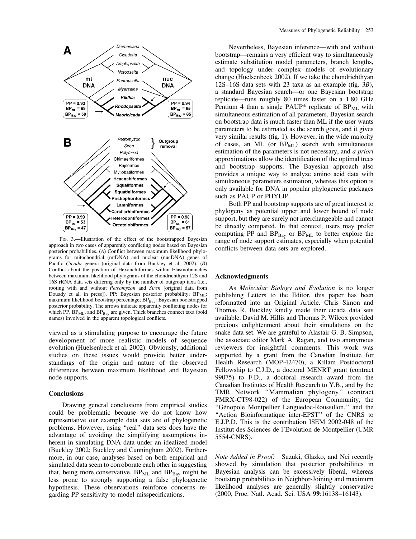

FIG. 3.-Illustration of the effect of the bootstrapped Bayesian approach in two cases of apparently conflicting nodes based on Bayesian posterior probabilities. (A) Conflict between maximum likelihood phylograms for mitochondrial (mtDNA) and nuclear (nucDNA) genes of Pacific Cicada genera (original data from Buckley et al. 2002). (B) Conflict about the position of Hexanchiformes within Elasmobranches between maximum likelihood phylograms of the chondrichthyan 12S and 16S rRNA data sets differing only by the number of outgroup taxa (i.e., rooting with and without Petromyzon and Siren [original data from Douady et al. in press]). PP: Bayesian posterior probability; BP<sub>ML</sub>: maximum likelihood bootstrap percentage; BPBay: Bayesian bootstrapped posterior probability. The arrows indicate apparently conflicting nodes for which PP,  $BP_{ML}$ , and  $BP_{Bav}$  are given. Thick branches connect taxa (bold names) involved in the apparent topological conflicts.

viewed as a stimulating purpose to encourage the future development of more realistic models of sequence evolution (Huelsenbeck et al. 2002). Obviously, additional studies on these issues would provide better understandings of the origin and nature of the observed differences between maximum likelihood and Bayesian node supports.

# **Conclusions**

Drawing general conclusions from empirical studies could be problematic because we do not know how representative our example data sets are of phylogenetic problems. However, using "real" data sets does have the advantage of avoiding the simplifying assumptions inherent in simulating DNA data under an idealized model (Buckley 2002; Buckley and Cunningham 2002). Furthermore, in our case, analyses based on both empirical and simulated data seem to corroborate each other in suggesting that, being more conservative,  $BP_{ML}$  and  $BP_{Bay}$  might be less prone to strongly supporting a false phylogenetic hypothesis. These observations reinforce concerns regarding PP sensitivity to model misspecifications.

Nevertheless, Bayesian inference—with and without bootstrap—remains a very efficient way to simultaneously estimate substitution model parameters, branch lengths, and topology under complex models of evolutionary change (Huelsenbeck 2002). If we take the chondrichthyan 12S–16S data sets with 23 taxa as an example (fig. 3B), a standard Bayesian search—or one Bayesian bootstrap replicate—runs roughly 80 times faster on a 1.80 GHz Pentium 4 than a single PAUP\* replicate of  $BP_{ML}$  with simultaneous estimation of all parameters. Bayesian search on bootstrap data is much faster than ML if the user wants parameters to be estimated as the search goes, and it gives very similar results (fig. 1). However, in the wide majority of cases, an ML (or  $BP_{ML}$ ) search with simultaneous estimation of the parameters is not necessary, and a priori approximations allow the identification of the optimal trees and bootstrap supports. The Bayesian approach also provides a unique way to analyze amino acid data with simultaneous parameters estimation, whereas this option is only available for DNA in popular phylogenetic packages such as PAUP or PHYLIP.

Both PP and bootstrap supports are of great interest to phylogeny as potential upper and lower bound of node support, but they are surely not interchangeable and cannot be directly compared. In that context, users may prefer computing PP and  $BP_{Bay}$  or  $BP_{ML}$  to better explore the range of node support estimates, especially when potential conflicts between data sets are explored.

# Acknowledgments

As Molecular Biology and Evolution is no longer publishing Letters to the Editor, this paper has been reformatted into an Original Article. Chris Simon and Thomas R. Buckley kindly made their cicada data sets available. David M. Hillis and Thomas P. Wilcox provided precious enlightenment about their simulations on the snake data set. We are grateful to Alastair G. B. Simpson, the associate editor Mark A. Ragan, and two anonymous reviewers for insightful comments. This work was supported by a grant from the Canadian Institute for Health Research (MOP-42470), a Killam Postdoctoral Fellowship to C.J.D., a doctoral MENRT grant (contract 99075) to F.D., a doctoral research award from the Canadian Institutes of Health Research to Y.B., and by the TMR Network ''Mammalian phylogeny'' (contract FMRX-CT98-022) of the European Community, the "Génopole Montpellier Languedoc-Roussillon," and the ''Action Bioinformatique inter-EPST'' of the CNRS to E.J.P.D. This is the contribution ISEM 2002-048 of the Institut des Sciences de l'Evolution de Montpellier (UMR 5554-CNRS).

Note Added in Proof: Suzuki, Glazko, and Nei recently showed by simulation that posterior probabilities in Bayesian analysis can be excessively liberal, whereas bootstrap probabilities in Neighbor-Joining and maximum likelihood analyses are generally slightly conservative (2000, Proc. Natl. Acad. Sci. USA 99:16138–16143).